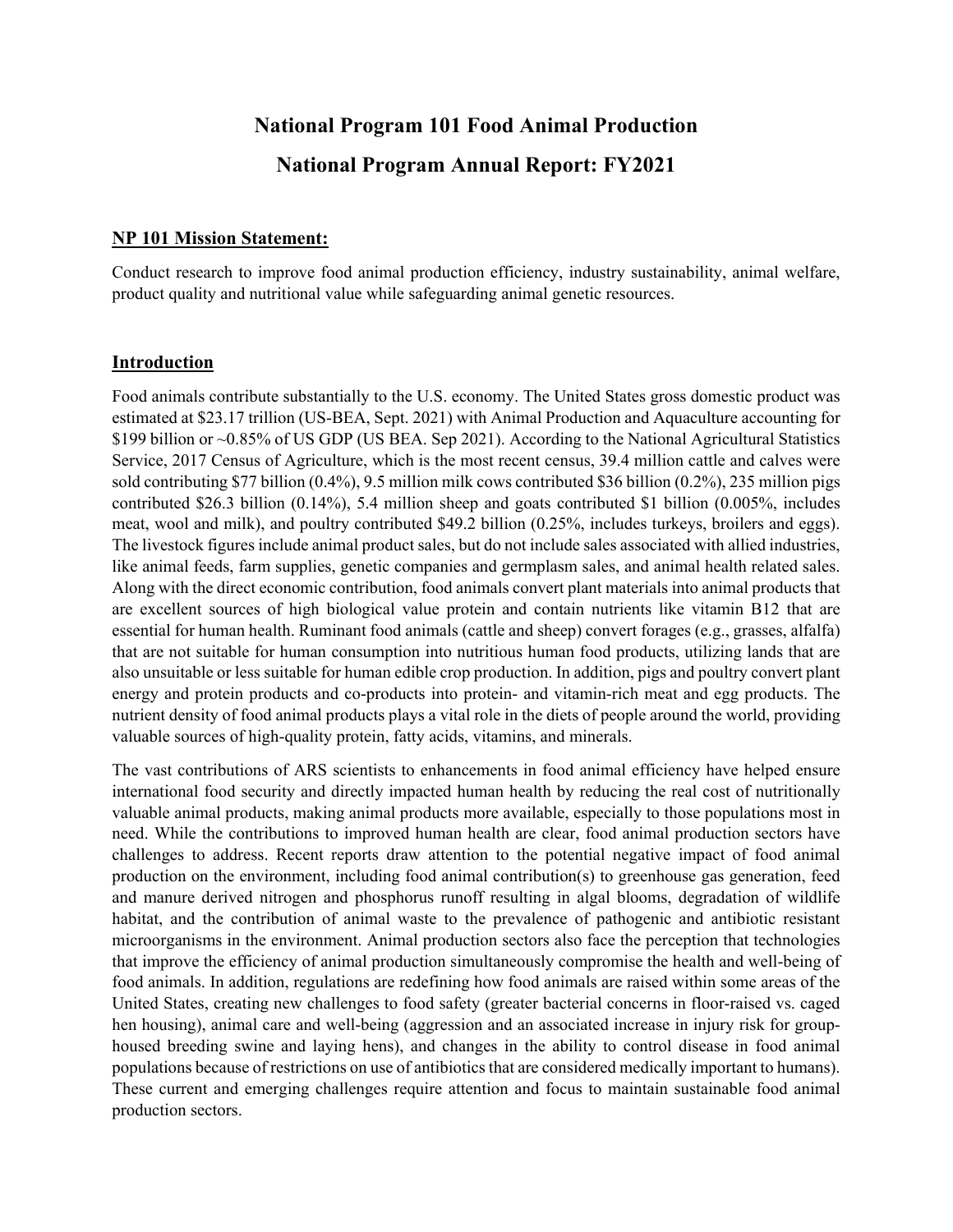# **National Program 101 Food Animal Production National Program Annual Report: FY2021**

#### **NP 101 Mission Statement:**

Conduct research to improve food animal production efficiency, industry sustainability, animal welfare, product quality and nutritional value while safeguarding animal genetic resources.

#### **Introduction**

Food animals contribute substantially to the U.S. economy. The United States gross domestic product was estimated at \$23.17 trillion (US-BEA, Sept. 2021) with Animal Production and Aquaculture accounting for \$199 billion or ~0.85% of US GDP (US BEA. Sep 2021). According to the National Agricultural Statistics Service, 2017 Census of Agriculture, which is the most recent census, 39.4 million cattle and calves were sold contributing \$77 billion (0.4%), 9.5 million milk cows contributed \$36 billion (0.2%), 235 million pigs contributed \$26.3 billion (0.14%), 5.4 million sheep and goats contributed \$1 billion (0.005%, includes meat, wool and milk), and poultry contributed \$49.2 billion (0.25%, includes turkeys, broilers and eggs). The livestock figures include animal product sales, but do not include sales associated with allied industries, like animal feeds, farm supplies, genetic companies and germplasm sales, and animal health related sales. Along with the direct economic contribution, food animals convert plant materials into animal products that are excellent sources of high biological value protein and contain nutrients like vitamin B12 that are essential for human health. Ruminant food animals (cattle and sheep) convert forages (e.g., grasses, alfalfa) that are not suitable for human consumption into nutritious human food products, utilizing lands that are also unsuitable or less suitable for human edible crop production. In addition, pigs and poultry convert plant energy and protein products and co-products into protein- and vitamin-rich meat and egg products. The nutrient density of food animal products plays a vital role in the diets of people around the world, providing valuable sources of high-quality protein, fatty acids, vitamins, and minerals.

The vast contributions of ARS scientists to enhancements in food animal efficiency have helped ensure international food security and directly impacted human health by reducing the real cost of nutritionally valuable animal products, making animal products more available, especially to those populations most in need. While the contributions to improved human health are clear, food animal production sectors have challenges to address. Recent reports draw attention to the potential negative impact of food animal production on the environment, including food animal contribution(s) to greenhouse gas generation, feed and manure derived nitrogen and phosphorus runoff resulting in algal blooms, degradation of wildlife habitat, and the contribution of animal waste to the prevalence of pathogenic and antibiotic resistant microorganisms in the environment. Animal production sectors also face the perception that technologies that improve the efficiency of animal production simultaneously compromise the health and well-being of food animals. In addition, regulations are redefining how food animals are raised within some areas of the United States, creating new challenges to food safety (greater bacterial concerns in floor-raised vs. caged hen housing), animal care and well-being (aggression and an associated increase in injury risk for grouphoused breeding swine and laying hens), and changes in the ability to control disease in food animal populations because of restrictions on use of antibiotics that are considered medically important to humans). These current and emerging challenges require attention and focus to maintain sustainable food animal production sectors.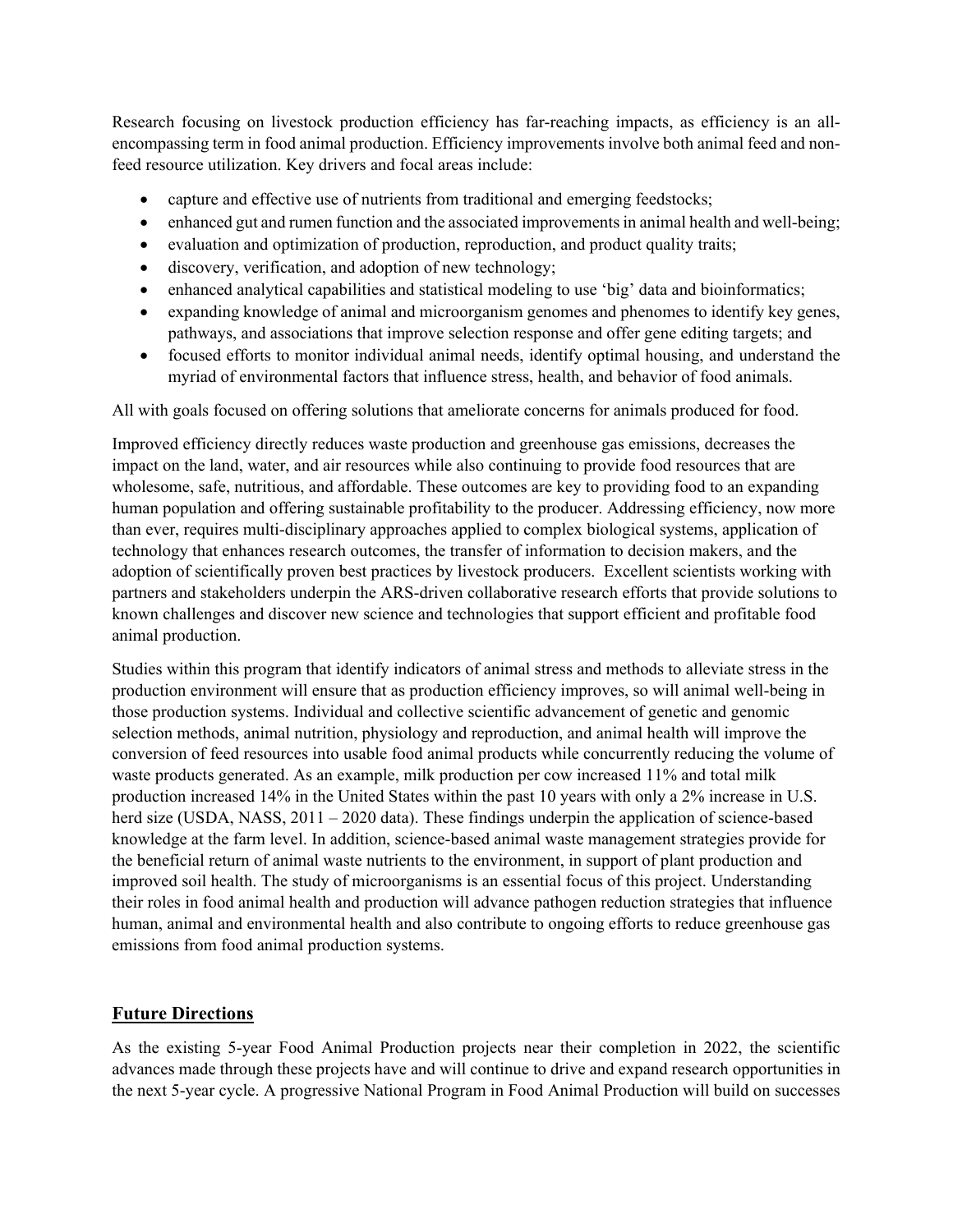Research focusing on livestock production efficiency has far-reaching impacts, as efficiency is an allencompassing term in food animal production. Efficiency improvements involve both animal feed and nonfeed resource utilization. Key drivers and focal areas include:

- capture and effective use of nutrients from traditional and emerging feedstocks;
- enhanced gut and rumen function and the associated improvements in animal health and well-being;
- evaluation and optimization of production, reproduction, and product quality traits;
- discovery, verification, and adoption of new technology;
- enhanced analytical capabilities and statistical modeling to use 'big' data and bioinformatics;
- expanding knowledge of animal and microorganism genomes and phenomes to identify key genes, pathways, and associations that improve selection response and offer gene editing targets; and
- focused efforts to monitor individual animal needs, identify optimal housing, and understand the myriad of environmental factors that influence stress, health, and behavior of food animals.

All with goals focused on offering solutions that ameliorate concerns for animals produced for food.

Improved efficiency directly reduces waste production and greenhouse gas emissions, decreases the impact on the land, water, and air resources while also continuing to provide food resources that are wholesome, safe, nutritious, and affordable. These outcomes are key to providing food to an expanding human population and offering sustainable profitability to the producer. Addressing efficiency, now more than ever, requires multi-disciplinary approaches applied to complex biological systems, application of technology that enhances research outcomes, the transfer of information to decision makers, and the adoption of scientifically proven best practices by livestock producers. Excellent scientists working with partners and stakeholders underpin the ARS-driven collaborative research efforts that provide solutions to known challenges and discover new science and technologies that support efficient and profitable food animal production.

Studies within this program that identify indicators of animal stress and methods to alleviate stress in the production environment will ensure that as production efficiency improves, so will animal well-being in those production systems. Individual and collective scientific advancement of genetic and genomic selection methods, animal nutrition, physiology and reproduction, and animal health will improve the conversion of feed resources into usable food animal products while concurrently reducing the volume of waste products generated. As an example, milk production per cow increased 11% and total milk production increased 14% in the United States within the past 10 years with only a 2% increase in U.S. herd size (USDA, NASS, 2011 – 2020 data). These findings underpin the application of science-based knowledge at the farm level. In addition, science-based animal waste management strategies provide for the beneficial return of animal waste nutrients to the environment, in support of plant production and improved soil health. The study of microorganisms is an essential focus of this project. Understanding their roles in food animal health and production will advance pathogen reduction strategies that influence human, animal and environmental health and also contribute to ongoing efforts to reduce greenhouse gas emissions from food animal production systems.

## **Future Directions**

As the existing 5-year Food Animal Production projects near their completion in 2022, the scientific advances made through these projects have and will continue to drive and expand research opportunities in the next 5-year cycle. A progressive National Program in Food Animal Production will build on successes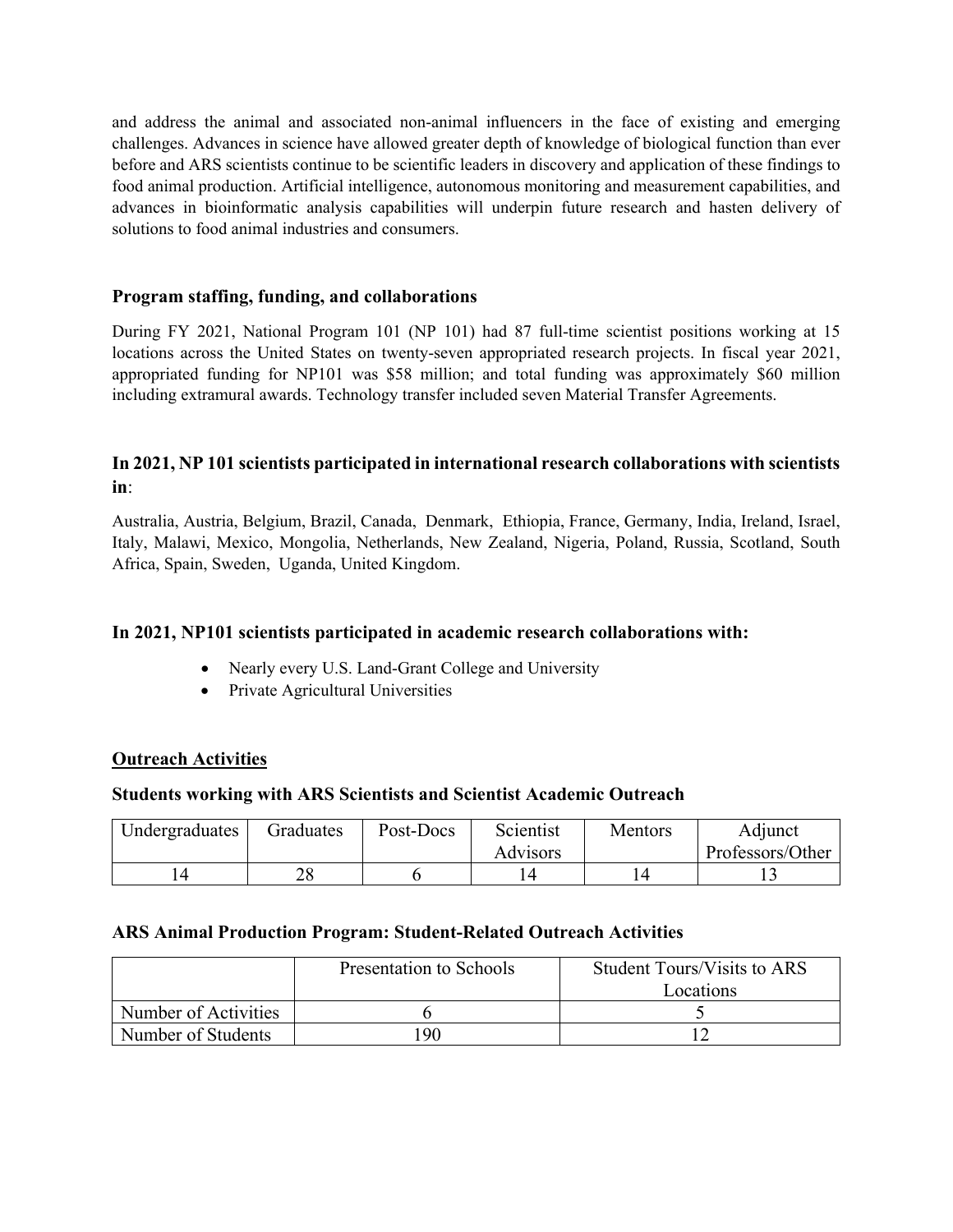and address the animal and associated non-animal influencers in the face of existing and emerging challenges. Advances in science have allowed greater depth of knowledge of biological function than ever before and ARS scientists continue to be scientific leaders in discovery and application of these findings to food animal production. Artificial intelligence, autonomous monitoring and measurement capabilities, and advances in bioinformatic analysis capabilities will underpin future research and hasten delivery of solutions to food animal industries and consumers.

## **Program staffing, funding, and collaborations**

During FY 2021, National Program 101 (NP 101) had 87 full-time scientist positions working at 15 locations across the United States on twenty-seven appropriated research projects. In fiscal year 2021, appropriated funding for NP101 was \$58 million; and total funding was approximately \$60 million including extramural awards. Technology transfer included seven Material Transfer Agreements.

## **In 2021, NP 101 scientists participated in international research collaborations with scientists in**:

Australia, Austria, Belgium, Brazil, Canada, Denmark, Ethiopia, France, Germany, India, Ireland, Israel, Italy, Malawi, Mexico, Mongolia, Netherlands, New Zealand, Nigeria, Poland, Russia, Scotland, South Africa, Spain, Sweden, Uganda, United Kingdom.

## **In 2021, NP101 scientists participated in academic research collaborations with:**

- Nearly every U.S. Land-Grant College and University
- Private Agricultural Universities

#### **Outreach Activities**

#### **Students working with ARS Scientists and Scientist Academic Outreach**

| Undergraduates | Graduates | Post-Docs | Scientist       | Mentors | Adjunct          |  |
|----------------|-----------|-----------|-----------------|---------|------------------|--|
|                |           |           | <b>Advisors</b> |         | Professors/Other |  |
|                |           |           |                 |         |                  |  |

#### **ARS Animal Production Program: Student-Related Outreach Activities**

|                      | Presentation to Schools | <b>Student Tours/Visits to ARS</b> |  |
|----------------------|-------------------------|------------------------------------|--|
|                      |                         | Locations                          |  |
| Number of Activities |                         |                                    |  |
| Number of Students   | 190                     |                                    |  |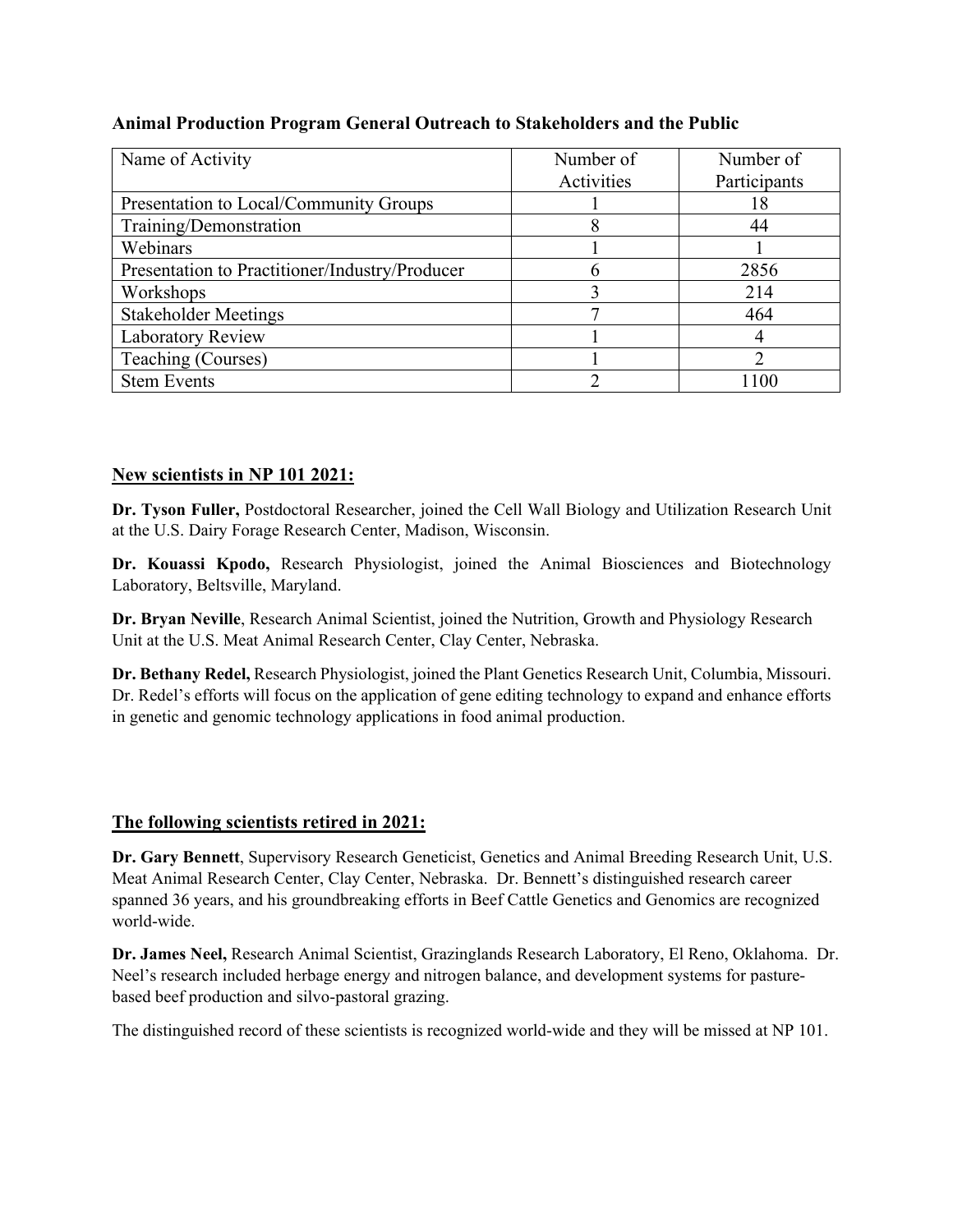# **Animal Production Program General Outreach to Stakeholders and the Public**

| Name of Activity                               | Number of  | Number of    |  |
|------------------------------------------------|------------|--------------|--|
|                                                | Activities | Participants |  |
| Presentation to Local/Community Groups         |            | 18           |  |
| Training/Demonstration                         |            | 44           |  |
| Webinars                                       |            |              |  |
| Presentation to Practitioner/Industry/Producer | h          | 2856         |  |
| Workshops                                      |            | 214          |  |
| <b>Stakeholder Meetings</b>                    |            | 464          |  |
| Laboratory Review                              |            |              |  |
| Teaching (Courses)                             |            |              |  |
| <b>Stem Events</b>                             |            | l 100        |  |

# **New scientists in NP 101 2021:**

**Dr. Tyson Fuller,** Postdoctoral Researcher, joined the Cell Wall Biology and Utilization Research Unit at the U.S. Dairy Forage Research Center, Madison, Wisconsin.

**Dr. Kouassi Kpodo,** Research Physiologist, joined the Animal Biosciences and Biotechnology Laboratory, Beltsville, Maryland.

**Dr. Bryan Neville**, Research Animal Scientist, joined the Nutrition, Growth and Physiology Research Unit at the U.S. Meat Animal Research Center, Clay Center, Nebraska.

**Dr. Bethany Redel,** Research Physiologist, joined the Plant Genetics Research Unit, Columbia, Missouri. Dr. Redel's efforts will focus on the application of gene editing technology to expand and enhance efforts in genetic and genomic technology applications in food animal production.

# **The following scientists retired in 2021:**

**Dr. Gary Bennett**, Supervisory Research Geneticist, Genetics and Animal Breeding Research Unit, U.S. Meat Animal Research Center, Clay Center, Nebraska. Dr. Bennett's distinguished research career spanned 36 years, and his groundbreaking efforts in Beef Cattle Genetics and Genomics are recognized world-wide.

**Dr. James Neel,** Research Animal Scientist, Grazinglands Research Laboratory, El Reno, Oklahoma. Dr. Neel's research included herbage energy and nitrogen balance, and development systems for pasturebased beef production and silvo-pastoral grazing.

The distinguished record of these scientists is recognized world-wide and they will be missed at NP 101.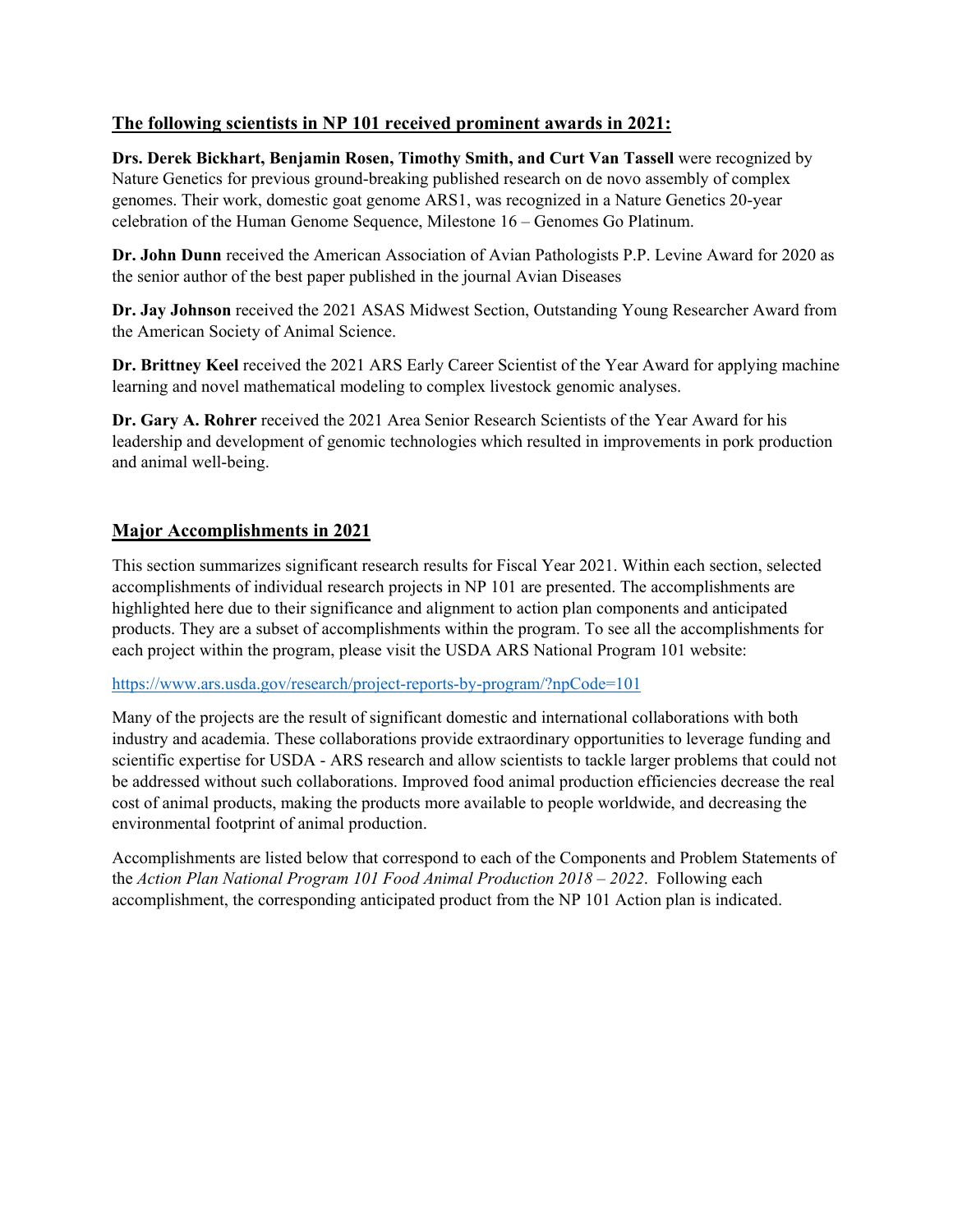# **The following scientists in NP 101 received prominent awards in 2021:**

**Drs. Derek Bickhart, Benjamin Rosen, Timothy Smith, and Curt Van Tassell** were recognized by Nature Genetics for previous ground-breaking published research on de novo assembly of complex genomes. Their work, domestic goat genome ARS1, was recognized in a Nature Genetics 20-year celebration of the Human Genome Sequence, Milestone 16 – Genomes Go Platinum.

**Dr. John Dunn** received the American Association of Avian Pathologists P.P. Levine Award for 2020 as the senior author of the best paper published in the journal Avian Diseases

**Dr. Jay Johnson** received the 2021 ASAS Midwest Section, Outstanding Young Researcher Award from the American Society of Animal Science.

**Dr. Brittney Keel** received the 2021 ARS Early Career Scientist of the Year Award for applying machine learning and novel mathematical modeling to complex livestock genomic analyses.

**Dr. Gary A. Rohrer** received the 2021 Area Senior Research Scientists of the Year Award for his leadership and development of genomic technologies which resulted in improvements in pork production and animal well-being.

## **Major Accomplishments in 2021**

This section summarizes significant research results for Fiscal Year 2021. Within each section, selected accomplishments of individual research projects in NP 101 are presented. The accomplishments are highlighted here due to their significance and alignment to action plan components and anticipated products. They are a subset of accomplishments within the program. To see all the accomplishments for each project within the program, please visit the USDA ARS National Program 101 website:

<https://www.ars.usda.gov/research/project-reports-by-program/?npCode=101>

Many of the projects are the result of significant domestic and international collaborations with both industry and academia. These collaborations provide extraordinary opportunities to leverage funding and scientific expertise for USDA - ARS research and allow scientists to tackle larger problems that could not be addressed without such collaborations. Improved food animal production efficiencies decrease the real cost of animal products, making the products more available to people worldwide, and decreasing the environmental footprint of animal production.

Accomplishments are listed below that correspond to each of the Components and Problem Statements of the *Action Plan National Program 101 Food Animal Production 2018 – 2022*. Following each accomplishment, the corresponding anticipated product from the NP 101 Action plan is indicated.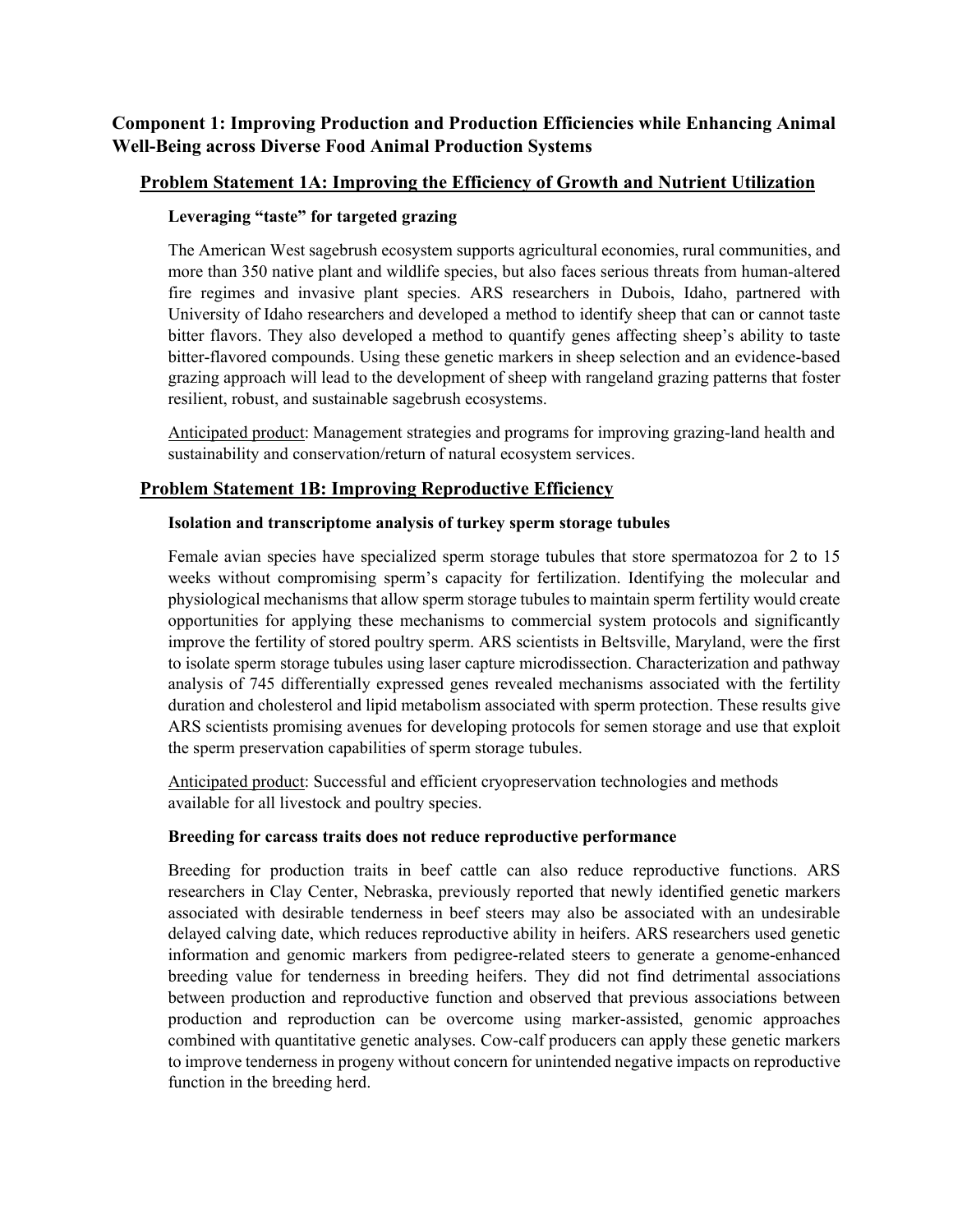# **Component 1: Improving Production and Production Efficiencies while Enhancing Animal Well-Being across Diverse Food Animal Production Systems**

## **Problem Statement 1A: Improving the Efficiency of Growth and Nutrient Utilization**

### **Leveraging "taste" for targeted grazing**

The American West sagebrush ecosystem supports agricultural economies, rural communities, and more than 350 native plant and wildlife species, but also faces serious threats from human-altered fire regimes and invasive plant species. ARS researchers in Dubois, Idaho, partnered with University of Idaho researchers and developed a method to identify sheep that can or cannot taste bitter flavors. They also developed a method to quantify genes affecting sheep's ability to taste bitter-flavored compounds. Using these genetic markers in sheep selection and an evidence-based grazing approach will lead to the development of sheep with rangeland grazing patterns that foster resilient, robust, and sustainable sagebrush ecosystems.

Anticipated product: Management strategies and programs for improving grazing-land health and sustainability and conservation/return of natural ecosystem services.

## **Problem Statement 1B: Improving Reproductive Efficiency**

#### **Isolation and transcriptome analysis of turkey sperm storage tubules**

Female avian species have specialized sperm storage tubules that store spermatozoa for 2 to 15 weeks without compromising sperm's capacity for fertilization. Identifying the molecular and physiological mechanisms that allow sperm storage tubules to maintain sperm fertility would create opportunities for applying these mechanisms to commercial system protocols and significantly improve the fertility of stored poultry sperm. ARS scientists in Beltsville, Maryland, were the first to isolate sperm storage tubules using laser capture microdissection. Characterization and pathway analysis of 745 differentially expressed genes revealed mechanisms associated with the fertility duration and cholesterol and lipid metabolism associated with sperm protection. These results give ARS scientists promising avenues for developing protocols for semen storage and use that exploit the sperm preservation capabilities of sperm storage tubules.

Anticipated product: Successful and efficient cryopreservation technologies and methods available for all livestock and poultry species.

#### **Breeding for carcass traits does not reduce reproductive performance**

Breeding for production traits in beef cattle can also reduce reproductive functions. ARS researchers in Clay Center, Nebraska, previously reported that newly identified genetic markers associated with desirable tenderness in beef steers may also be associated with an undesirable delayed calving date, which reduces reproductive ability in heifers. ARS researchers used genetic information and genomic markers from pedigree-related steers to generate a genome-enhanced breeding value for tenderness in breeding heifers. They did not find detrimental associations between production and reproductive function and observed that previous associations between production and reproduction can be overcome using marker-assisted, genomic approaches combined with quantitative genetic analyses. Cow-calf producers can apply these genetic markers to improve tenderness in progeny without concern for unintended negative impacts on reproductive function in the breeding herd.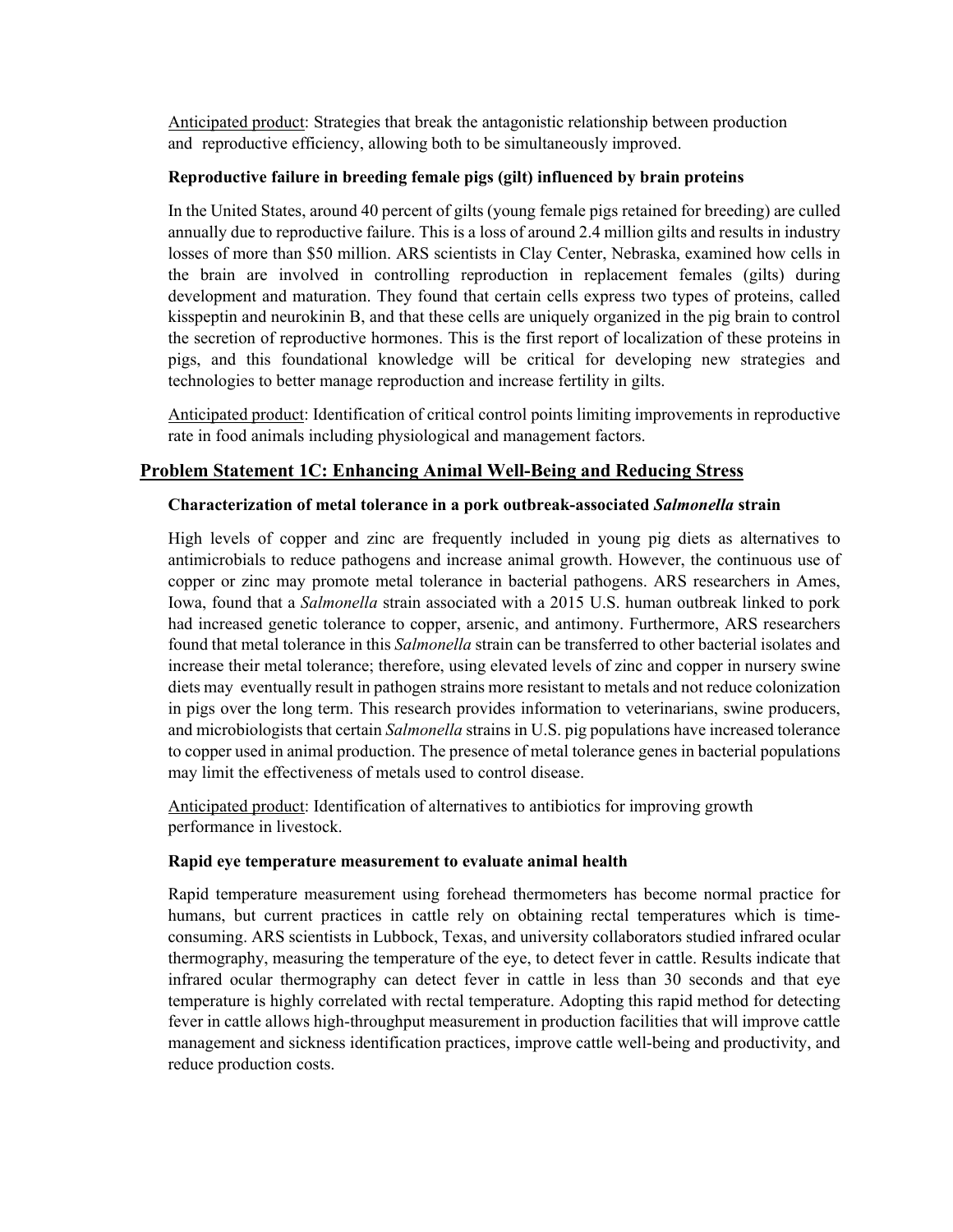Anticipated product: Strategies that break the antagonistic relationship between production and reproductive efficiency, allowing both to be simultaneously improved.

#### **Reproductive failure in breeding female pigs (gilt) influenced by brain proteins**

In the United States, around 40 percent of gilts (young female pigs retained for breeding) are culled annually due to reproductive failure. This is a loss of around 2.4 million gilts and results in industry losses of more than \$50 million. ARS scientists in Clay Center, Nebraska, examined how cells in the brain are involved in controlling reproduction in replacement females (gilts) during development and maturation. They found that certain cells express two types of proteins, called kisspeptin and neurokinin B, and that these cells are uniquely organized in the pig brain to control the secretion of reproductive hormones. This is the first report of localization of these proteins in pigs, and this foundational knowledge will be critical for developing new strategies and technologies to better manage reproduction and increase fertility in gilts.

Anticipated product: Identification of critical control points limiting improvements in reproductive rate in food animals including physiological and management factors.

## **Problem Statement 1C: Enhancing Animal Well-Being and Reducing Stress**

#### **Characterization of metal tolerance in a pork outbreak-associated** *Salmonella* **strain**

High levels of copper and zinc are frequently included in young pig diets as alternatives to antimicrobials to reduce pathogens and increase animal growth. However, the continuous use of copper or zinc may promote metal tolerance in bacterial pathogens. ARS researchers in Ames, Iowa, found that a *Salmonella* strain associated with a 2015 U.S. human outbreak linked to pork had increased genetic tolerance to copper, arsenic, and antimony. Furthermore, ARS researchers found that metal tolerance in this *Salmonella* strain can be transferred to other bacterial isolates and increase their metal tolerance; therefore, using elevated levels of zinc and copper in nursery swine diets may eventually result in pathogen strains more resistant to metals and not reduce colonization in pigs over the long term. This research provides information to veterinarians, swine producers, and microbiologists that certain *Salmonella* strains in U.S. pig populations have increased tolerance to copper used in animal production. The presence of metal tolerance genes in bacterial populations may limit the effectiveness of metals used to control disease.

Anticipated product: Identification of alternatives to antibiotics for improving growth performance in livestock.

#### **Rapid eye temperature measurement to evaluate animal health**

Rapid temperature measurement using forehead thermometers has become normal practice for humans, but current practices in cattle rely on obtaining rectal temperatures which is timeconsuming. ARS scientists in Lubbock, Texas, and university collaborators studied infrared ocular thermography, measuring the temperature of the eye, to detect fever in cattle. Results indicate that infrared ocular thermography can detect fever in cattle in less than 30 seconds and that eye temperature is highly correlated with rectal temperature. Adopting this rapid method for detecting fever in cattle allows high-throughput measurement in production facilities that will improve cattle management and sickness identification practices, improve cattle well-being and productivity, and reduce production costs.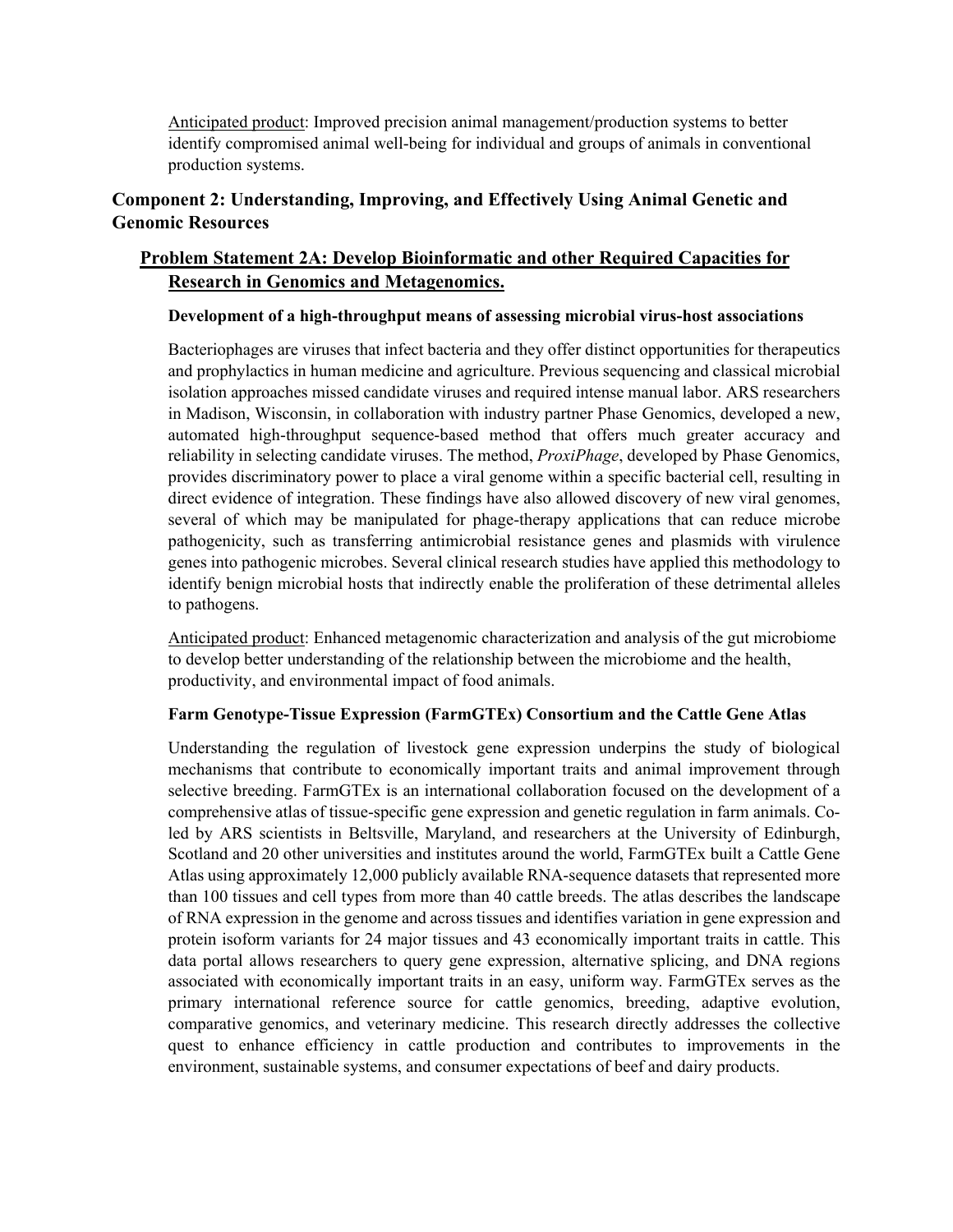Anticipated product: Improved precision animal management/production systems to better identify compromised animal well-being for individual and groups of animals in conventional production systems.

# **Component 2: Understanding, Improving, and Effectively Using Animal Genetic and Genomic Resources**

# **Problem Statement 2A: Develop Bioinformatic and other Required Capacities for Research in Genomics and Metagenomics.**

#### **Development of a high-throughput means of assessing microbial virus-host associations**

Bacteriophages are viruses that infect bacteria and they offer distinct opportunities for therapeutics and prophylactics in human medicine and agriculture. Previous sequencing and classical microbial isolation approaches missed candidate viruses and required intense manual labor. ARS researchers in Madison, Wisconsin, in collaboration with industry partner Phase Genomics, developed a new, automated high-throughput sequence-based method that offers much greater accuracy and reliability in selecting candidate viruses. The method, *ProxiPhage*, developed by Phase Genomics, provides discriminatory power to place a viral genome within a specific bacterial cell, resulting in direct evidence of integration. These findings have also allowed discovery of new viral genomes, several of which may be manipulated for phage-therapy applications that can reduce microbe pathogenicity, such as transferring antimicrobial resistance genes and plasmids with virulence genes into pathogenic microbes. Several clinical research studies have applied this methodology to identify benign microbial hosts that indirectly enable the proliferation of these detrimental alleles to pathogens.

Anticipated product: Enhanced metagenomic characterization and analysis of the gut microbiome to develop better understanding of the relationship between the microbiome and the health, productivity, and environmental impact of food animals.

## **Farm Genotype-Tissue Expression (FarmGTEx) Consortium and the Cattle Gene Atlas**

Understanding the regulation of livestock gene expression underpins the study of biological mechanisms that contribute to economically important traits and animal improvement through selective breeding. FarmGTEx is an international collaboration focused on the development of a comprehensive atlas of tissue-specific gene expression and genetic regulation in farm animals. Coled by ARS scientists in Beltsville, Maryland, and researchers at the University of Edinburgh, Scotland and 20 other universities and institutes around the world, FarmGTEx built a Cattle Gene Atlas using approximately 12,000 publicly available RNA-sequence datasets that represented more than 100 tissues and cell types from more than 40 cattle breeds. The atlas describes the landscape of RNA expression in the genome and across tissues and identifies variation in gene expression and protein isoform variants for 24 major tissues and 43 economically important traits in cattle. This data portal allows researchers to query gene expression, alternative splicing, and DNA regions associated with economically important traits in an easy, uniform way. FarmGTEx serves as the primary international reference source for cattle genomics, breeding, adaptive evolution, comparative genomics, and veterinary medicine. This research directly addresses the collective quest to enhance efficiency in cattle production and contributes to improvements in the environment, sustainable systems, and consumer expectations of beef and dairy products.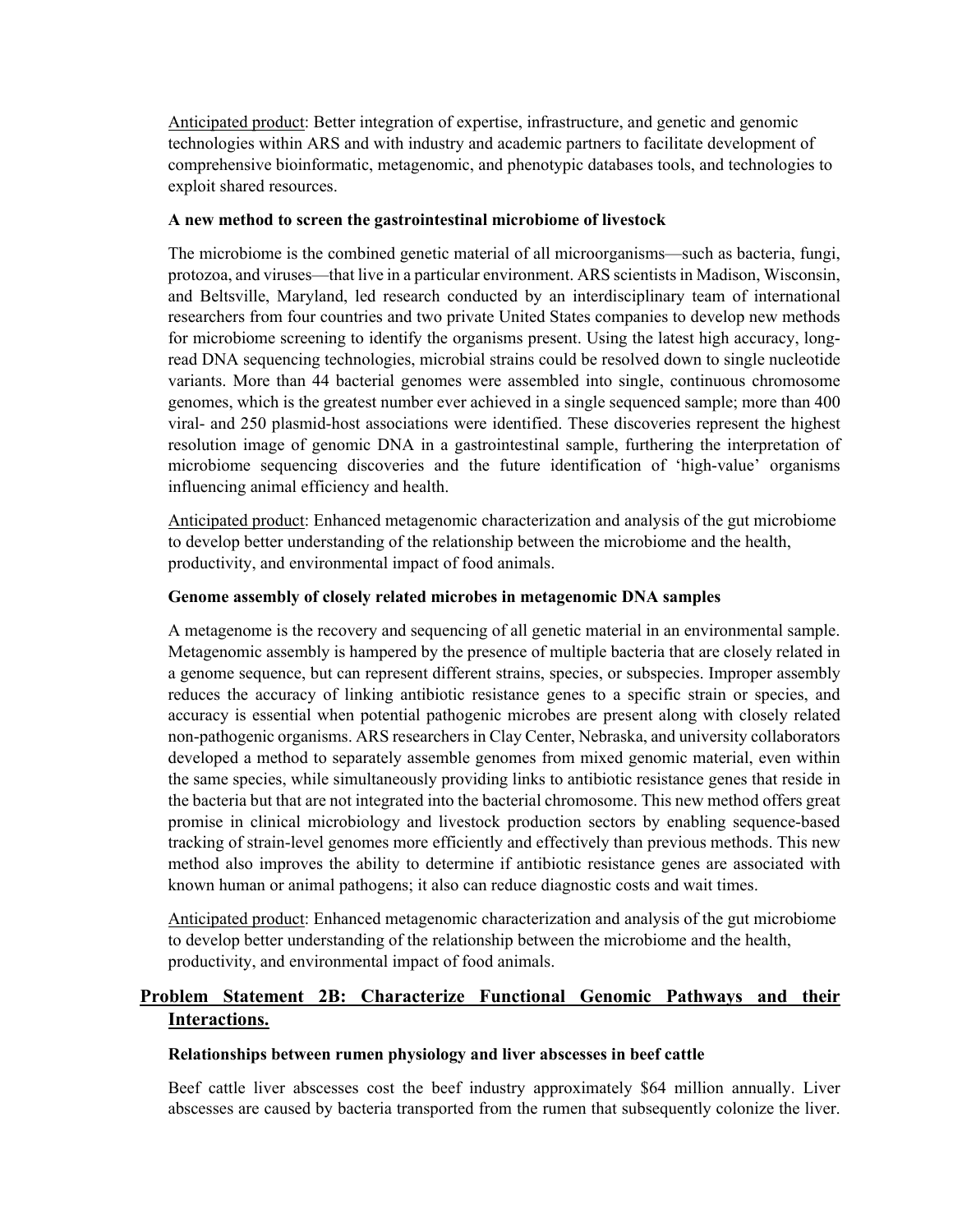Anticipated product: Better integration of expertise, infrastructure, and genetic and genomic technologies within ARS and with industry and academic partners to facilitate development of comprehensive bioinformatic, metagenomic, and phenotypic databases tools, and technologies to exploit shared resources.

#### **A new method to screen the gastrointestinal microbiome of livestock**

The microbiome is the combined genetic material of all microorganisms—such as bacteria, fungi, protozoa, and viruses—that live in a particular environment. ARS scientists in Madison, Wisconsin, and Beltsville, Maryland, led research conducted by an interdisciplinary team of international researchers from four countries and two private United States companies to develop new methods for microbiome screening to identify the organisms present. Using the latest high accuracy, longread DNA sequencing technologies, microbial strains could be resolved down to single nucleotide variants. More than 44 bacterial genomes were assembled into single, continuous chromosome genomes, which is the greatest number ever achieved in a single sequenced sample; more than 400 viral- and 250 plasmid-host associations were identified. These discoveries represent the highest resolution image of genomic DNA in a gastrointestinal sample, furthering the interpretation of microbiome sequencing discoveries and the future identification of 'high-value' organisms influencing animal efficiency and health.

Anticipated product: Enhanced metagenomic characterization and analysis of the gut microbiome to develop better understanding of the relationship between the microbiome and the health, productivity, and environmental impact of food animals.

#### **Genome assembly of closely related microbes in metagenomic DNA samples**

A metagenome is the recovery and sequencing of all genetic material in an environmental sample. Metagenomic assembly is hampered by the presence of multiple bacteria that are closely related in a genome sequence, but can represent different strains, species, or subspecies. Improper assembly reduces the accuracy of linking antibiotic resistance genes to a specific strain or species, and accuracy is essential when potential pathogenic microbes are present along with closely related non-pathogenic organisms. ARS researchers in Clay Center, Nebraska, and university collaborators developed a method to separately assemble genomes from mixed genomic material, even within the same species, while simultaneously providing links to antibiotic resistance genes that reside in the bacteria but that are not integrated into the bacterial chromosome. This new method offers great promise in clinical microbiology and livestock production sectors by enabling sequence-based tracking of strain-level genomes more efficiently and effectively than previous methods. This new method also improves the ability to determine if antibiotic resistance genes are associated with known human or animal pathogens; it also can reduce diagnostic costs and wait times.

Anticipated product: Enhanced metagenomic characterization and analysis of the gut microbiome to develop better understanding of the relationship between the microbiome and the health, productivity, and environmental impact of food animals.

# **Problem Statement 2B: Characterize Functional Genomic Pathways and their Interactions.**

#### **Relationships between rumen physiology and liver abscesses in beef cattle**

Beef cattle liver abscesses cost the beef industry approximately \$64 million annually. Liver abscesses are caused by bacteria transported from the rumen that subsequently colonize the liver.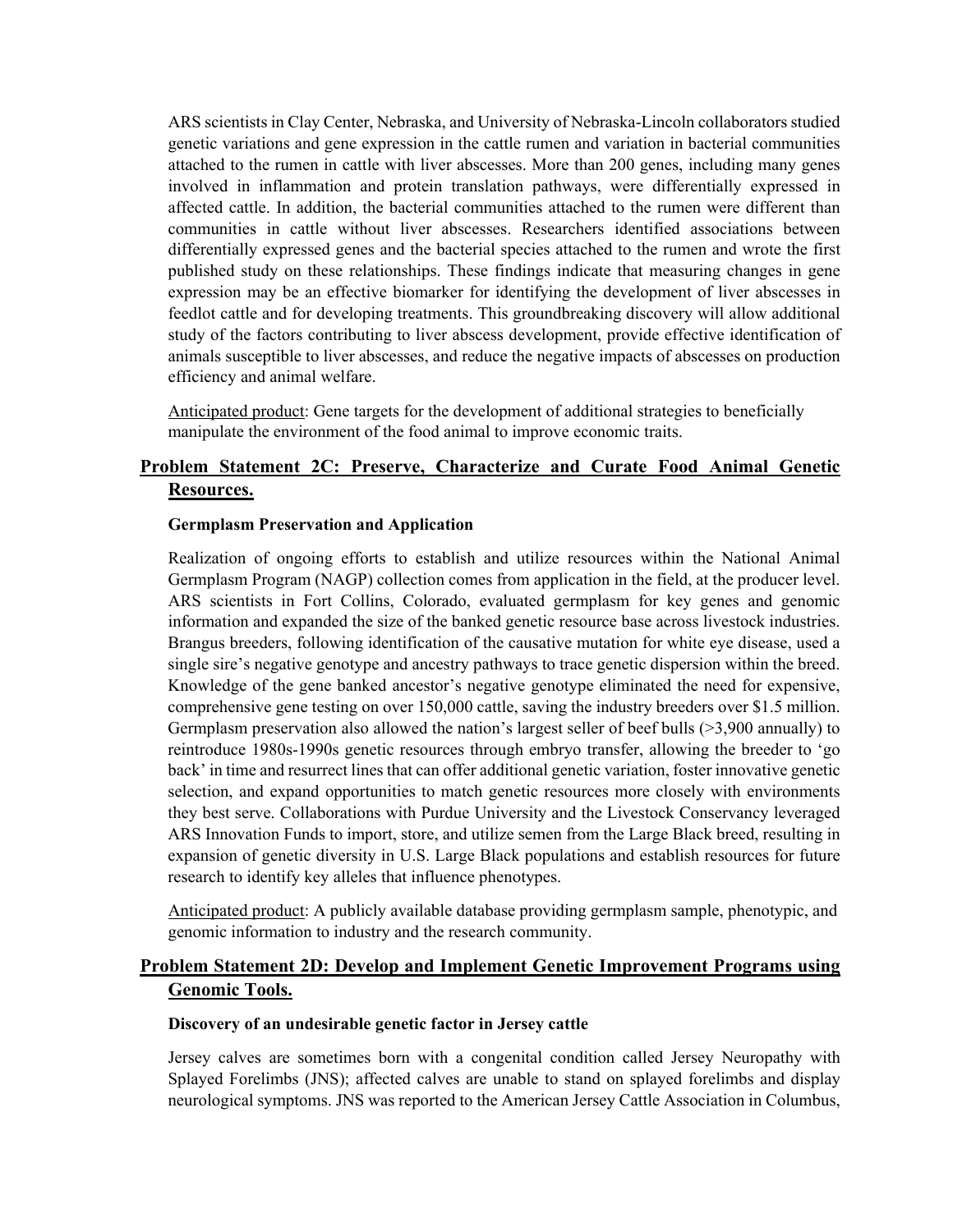ARS scientists in Clay Center, Nebraska, and University of Nebraska-Lincoln collaborators studied genetic variations and gene expression in the cattle rumen and variation in bacterial communities attached to the rumen in cattle with liver abscesses. More than 200 genes, including many genes involved in inflammation and protein translation pathways, were differentially expressed in affected cattle. In addition, the bacterial communities attached to the rumen were different than communities in cattle without liver abscesses. Researchers identified associations between differentially expressed genes and the bacterial species attached to the rumen and wrote the first published study on these relationships. These findings indicate that measuring changes in gene expression may be an effective biomarker for identifying the development of liver abscesses in feedlot cattle and for developing treatments. This groundbreaking discovery will allow additional study of the factors contributing to liver abscess development, provide effective identification of animals susceptible to liver abscesses, and reduce the negative impacts of abscesses on production efficiency and animal welfare.

Anticipated product: Gene targets for the development of additional strategies to beneficially manipulate the environment of the food animal to improve economic traits.

# **Problem Statement 2C: Preserve, Characterize and Curate Food Animal Genetic Resources.**

#### **Germplasm Preservation and Application**

Realization of ongoing efforts to establish and utilize resources within the National Animal Germplasm Program (NAGP) collection comes from application in the field, at the producer level. ARS scientists in Fort Collins, Colorado, evaluated germplasm for key genes and genomic information and expanded the size of the banked genetic resource base across livestock industries. Brangus breeders, following identification of the causative mutation for white eye disease, used a single sire's negative genotype and ancestry pathways to trace genetic dispersion within the breed. Knowledge of the gene banked ancestor's negative genotype eliminated the need for expensive, comprehensive gene testing on over 150,000 cattle, saving the industry breeders over \$1.5 million. Germplasm preservation also allowed the nation's largest seller of beef bulls (>3,900 annually) to reintroduce 1980s-1990s genetic resources through embryo transfer, allowing the breeder to 'go back' in time and resurrect lines that can offer additional genetic variation, foster innovative genetic selection, and expand opportunities to match genetic resources more closely with environments they best serve. Collaborations with Purdue University and the Livestock Conservancy leveraged ARS Innovation Funds to import, store, and utilize semen from the Large Black breed, resulting in expansion of genetic diversity in U.S. Large Black populations and establish resources for future research to identify key alleles that influence phenotypes.

Anticipated product: A publicly available database providing germplasm sample, phenotypic, and genomic information to industry and the research community.

## **Problem Statement 2D: Develop and Implement Genetic Improvement Programs using Genomic Tools.**

#### **Discovery of an undesirable genetic factor in Jersey cattle**

Jersey calves are sometimes born with a congenital condition called Jersey Neuropathy with Splayed Forelimbs (JNS); affected calves are unable to stand on splayed forelimbs and display neurological symptoms. JNS was reported to the American Jersey Cattle Association in Columbus,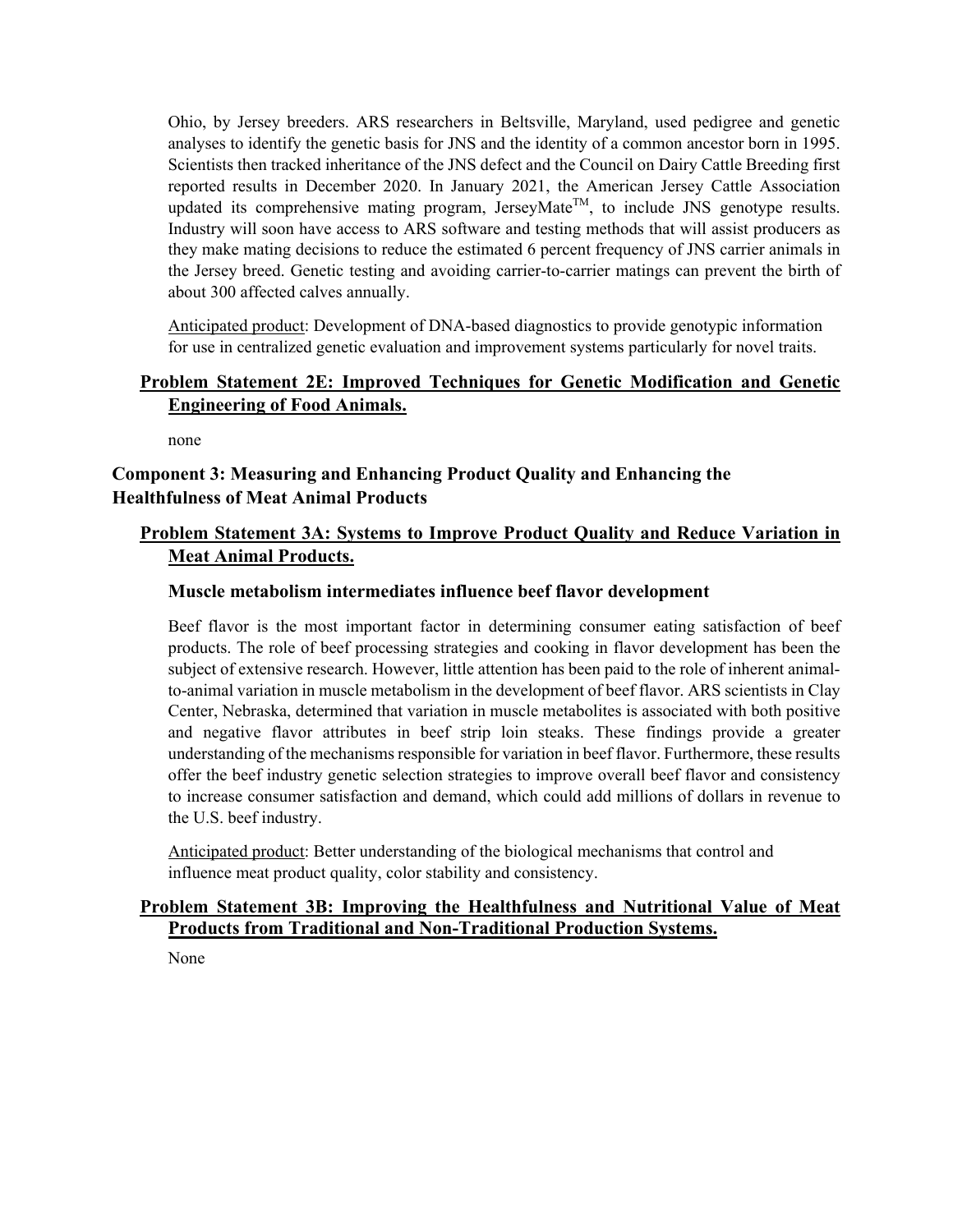Ohio, by Jersey breeders. ARS researchers in Beltsville, Maryland, used pedigree and genetic analyses to identify the genetic basis for JNS and the identity of a common ancestor born in 1995. Scientists then tracked inheritance of the JNS defect and the Council on Dairy Cattle Breeding first reported results in December 2020. In January 2021, the American Jersey Cattle Association updated its comprehensive mating program, JerseyMate<sup>TM</sup>, to include JNS genotype results. Industry will soon have access to ARS software and testing methods that will assist producers as they make mating decisions to reduce the estimated 6 percent frequency of JNS carrier animals in the Jersey breed. Genetic testing and avoiding carrier-to-carrier matings can prevent the birth of about 300 affected calves annually.

Anticipated product: Development of DNA-based diagnostics to provide genotypic information for use in centralized genetic evaluation and improvement systems particularly for novel traits.

## **Problem Statement 2E: Improved Techniques for Genetic Modification and Genetic Engineering of Food Animals.**

none

# **Component 3: Measuring and Enhancing Product Quality and Enhancing the Healthfulness of Meat Animal Products**

# **Problem Statement 3A: Systems to Improve Product Quality and Reduce Variation in Meat Animal Products.**

## **Muscle metabolism intermediates influence beef flavor development**

Beef flavor is the most important factor in determining consumer eating satisfaction of beef products. The role of beef processing strategies and cooking in flavor development has been the subject of extensive research. However, little attention has been paid to the role of inherent animalto-animal variation in muscle metabolism in the development of beef flavor. ARS scientists in Clay Center, Nebraska, determined that variation in muscle metabolites is associated with both positive and negative flavor attributes in beef strip loin steaks. These findings provide a greater understanding of the mechanisms responsible for variation in beef flavor. Furthermore, these results offer the beef industry genetic selection strategies to improve overall beef flavor and consistency to increase consumer satisfaction and demand, which could add millions of dollars in revenue to the U.S. beef industry.

Anticipated product: Better understanding of the biological mechanisms that control and influence meat product quality, color stability and consistency.

## **Problem Statement 3B: Improving the Healthfulness and Nutritional Value of Meat Products from Traditional and Non-Traditional Production Systems.**

None